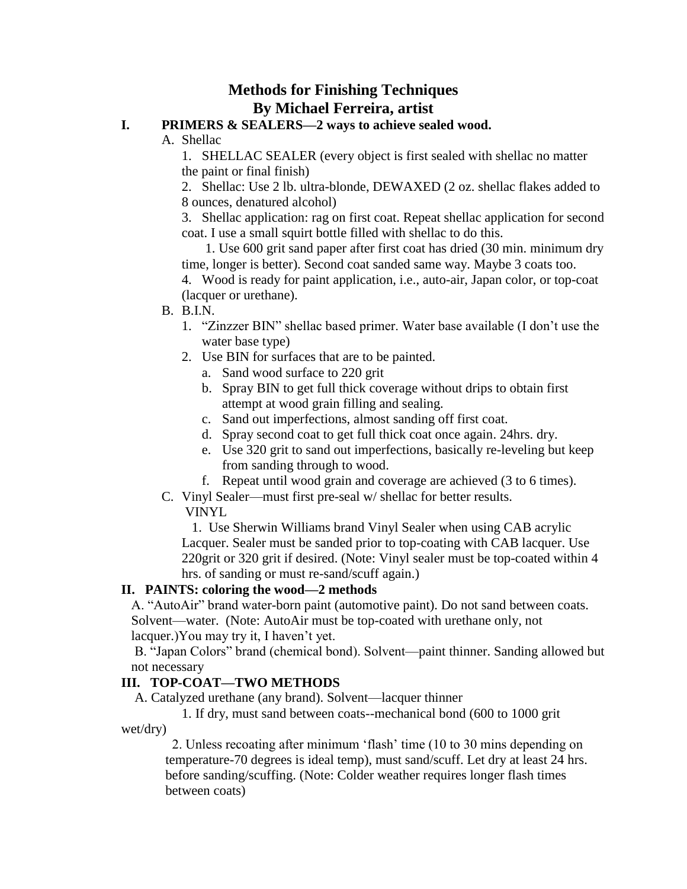# **Methods for Finishing Techniques By Michael Ferreira, artist**

#### **I. PRIMERS & SEALERS—2 ways to achieve sealed wood.**

#### A. Shellac

1. SHELLAC SEALER (every object is first sealed with shellac no matter the paint or final finish)

2. Shellac: Use 2 lb. ultra-blonde, DEWAXED (2 oz. shellac flakes added to 8 ounces, denatured alcohol)

3. Shellac application: rag on first coat. Repeat shellac application for second coat. I use a small squirt bottle filled with shellac to do this.

 1. Use 600 grit sand paper after first coat has dried (30 min. minimum dry time, longer is better). Second coat sanded same way. Maybe 3 coats too.

4. Wood is ready for paint application, i.e., auto-air, Japan color, or top-coat (lacquer or urethane).

- B. B.I.N.
	- 1. "Zinzzer BIN" shellac based primer. Water base available (I don't use the water base type)
	- 2. Use BIN for surfaces that are to be painted.
		- a. Sand wood surface to 220 grit
		- b. Spray BIN to get full thick coverage without drips to obtain first attempt at wood grain filling and sealing.
		- c. Sand out imperfections, almost sanding off first coat.
		- d. Spray second coat to get full thick coat once again. 24hrs. dry.
		- e. Use 320 grit to sand out imperfections, basically re-leveling but keep from sanding through to wood.
		- f. Repeat until wood grain and coverage are achieved (3 to 6 times).
- C. Vinyl Sealer—must first pre-seal w/ shellac for better results.

VINYL

 1. Use Sherwin Williams brand Vinyl Sealer when using CAB acrylic Lacquer. Sealer must be sanded prior to top-coating with CAB lacquer. Use 220grit or 320 grit if desired. (Note: Vinyl sealer must be top-coated within 4 hrs. of sanding or must re-sand/scuff again.)

## **II. PAINTS: coloring the wood—2 methods**

A. "AutoAir" brand water-born paint (automotive paint). Do not sand between coats. Solvent—water. (Note: AutoAir must be top-coated with urethane only, not lacquer.)You may try it, I haven't yet.

B. "Japan Colors" brand (chemical bond). Solvent—paint thinner. Sanding allowed but not necessary

## **III. TOP-COAT—TWO METHODS**

A. Catalyzed urethane (any brand). Solvent—lacquer thinner

 1. If dry, must sand between coats--mechanical bond (600 to 1000 grit wet/dry)

 2. Unless recoating after minimum 'flash' time (10 to 30 mins depending on temperature-70 degrees is ideal temp), must sand/scuff. Let dry at least 24 hrs. before sanding/scuffing. (Note: Colder weather requires longer flash times between coats)